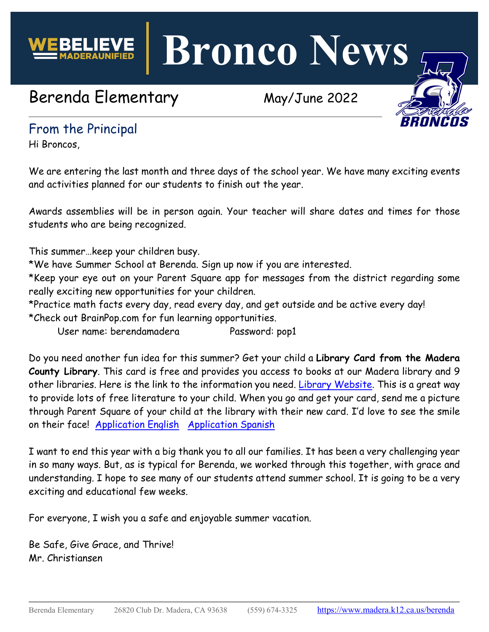**Bronco News**

# Berenda Elementary May/June 2022



## From the Principal

Hi Broncos,

We are entering the last month and three days of the school year. We have many exciting events and activities planned for our students to finish out the year.

Awards assemblies will be in person again. Your teacher will share dates and times for those students who are being recognized.

This summer…keep your children busy.

\*We have Summer School at Berenda. Sign up now if you are interested.

\*Keep your eye out on your Parent Square app for messages from the district regarding some really exciting new opportunities for your children.

\*Practice math facts every day, read every day, and get outside and be active every day! \*Check out BrainPop.com for fun learning opportunities.

User name: berendamadera Password: pop1

Do you need another fun idea for this summer? Get your child a **Library Card from the Madera County Library**. This card is free and provides you access to books at our Madera library and 9 other libraries. Here is the link to the information you need. [Library Website.](https://www.maderacounty.com/government/madera-county-library/policies/library-cards) This is a great way to provide lots of free literature to your child. When you go and get your card, send me a picture through Parent Square of your child at the library with their new card. I'd love to see the smile on their face! [Application English](https://drive.google.com/file/d/1DK2bt2eLr2lXsPFlc-P5E3k472tRtaCW/view?usp=sharing) [Application Spanish](https://drive.google.com/file/d/17QOF8xI_3yKnVolDH74pHrd-oR3vX1Q8/view?usp=sharing)

I want to end this year with a big thank you to all our families. It has been a very challenging year in so many ways. But, as is typical for Berenda, we worked through this together, with grace and understanding. I hope to see many of our students attend summer school. It is going to be a very exciting and educational few weeks.

For everyone, I wish you a safe and enjoyable summer vacation.

Be Safe, Give Grace, and Thrive! Mr. Christiansen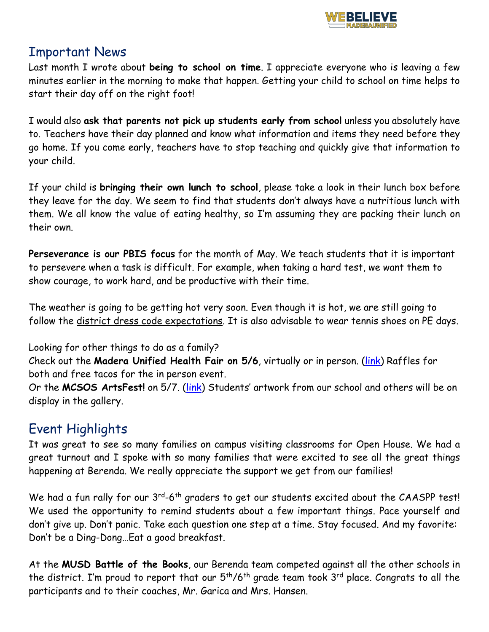

#### Important News

Last month I wrote about **being to school on time**. I appreciate everyone who is leaving a few minutes earlier in the morning to make that happen. Getting your child to school on time helps to start their day off on the right foot!

I would also **ask that parents not pick up students early from school** unless you absolutely have to. Teachers have their day planned and know what information and items they need before they go home. If you come early, teachers have to stop teaching and quickly give that information to your child.

If your child is **bringing their own lunch to school**, please take a look in their lunch box before they leave for the day. We seem to find that students don't always have a nutritious lunch with them. We all know the value of eating healthy, so I'm assuming they are packing their lunch on their own.

**Perseverance is our PBIS focus** for the month of May. We teach students that it is important to persevere when a task is difficult. For example, when taking a hard test, we want them to show courage, to work hard, and be productive with their time.

The weather is going to be getting hot very soon. Even though it is hot, we are still going to follow the district dress code expectations. It is also advisable to wear tennis shoes on PE days.

Looking for other things to do as a family?

Check out the **Madera Unified Health Fair on 5/6**, virtually or in person. [\(link\)](https://drive.google.com/file/d/1WGULKNrAlS04thioKvV262T03FHJikYz/view) Raffles for both and free tacos for the in person event.

Or the **MCSOS ArtsFest!** on 5/7. [\(link\)](https://www.mcsos.org/Page/3265) Students' artwork from our school and others will be on display in the gallery.

# Event Highlights

It was great to see so many families on campus visiting classrooms for Open House. We had a great turnout and I spoke with so many families that were excited to see all the great things happening at Berenda. We really appreciate the support we get from our families!

We had a fun rally for our 3<sup>rd</sup>-6<sup>th</sup> graders to get our students excited about the CAASPP test! We used the opportunity to remind students about a few important things. Pace yourself and don't give up. Don't panic. Take each question one step at a time. Stay focused. And my favorite: Don't be a Ding-Dong…Eat a good breakfast.

At the **MUSD Battle of the Books**, our Berenda team competed against all the other schools in the district. I'm proud to report that our  $5<sup>th</sup>/6<sup>th</sup>$  grade team took  $3<sup>rd</sup>$  place. Congrats to all the participants and to their coaches, Mr. Garica and Mrs. Hansen.